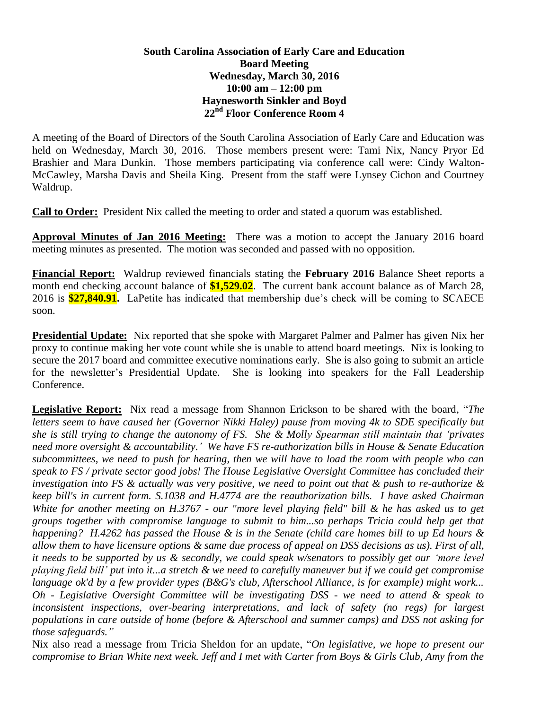## **South Carolina Association of Early Care and Education Board Meeting Wednesday, March 30, 2016 10:00 am – 12:00 pm Haynesworth Sinkler and Boyd 22nd Floor Conference Room 4**

A meeting of the Board of Directors of the South Carolina Association of Early Care and Education was held on Wednesday, March 30, 2016. Those members present were: Tami Nix, Nancy Pryor Ed Brashier and Mara Dunkin. Those members participating via conference call were: Cindy Walton-McCawley, Marsha Davis and Sheila King. Present from the staff were Lynsey Cichon and Courtney Waldrup.

**Call to Order:** President Nix called the meeting to order and stated a quorum was established.

**Approval Minutes of Jan 2016 Meeting:** There was a motion to accept the January 2016 board meeting minutes as presented. The motion was seconded and passed with no opposition.

**Financial Report:** Waldrup reviewed financials stating the **February 2016** Balance Sheet reports a month end checking account balance of **\$1,529.02**. The current bank account balance as of March 28, 2016 is **\$27,840.91.** LaPetite has indicated that membership due's check will be coming to SCAECE soon.

**Presidential Update:** Nix reported that she spoke with Margaret Palmer and Palmer has given Nix her proxy to continue making her vote count while she is unable to attend board meetings. Nix is looking to secure the 2017 board and committee executive nominations early. She is also going to submit an article for the newsletter's Presidential Update. She is looking into speakers for the Fall Leadership Conference.

**Legislative Report:** Nix read a message from Shannon Erickson to be shared with the board, "*The letters seem to have caused her (Governor Nikki Haley) pause from moving 4k to SDE specifically but she is still trying to change the autonomy of FS. She & Molly Spearman still maintain that 'privates need more oversight & accountability.' We have FS re-authorization bills in House & Senate Education subcommittees, we need to push for hearing, then we will have to load the room with people who can speak to FS / private sector good jobs! The House Legislative Oversight Committee has concluded their investigation into FS & actually was very positive, we need to point out that & push to re-authorize & keep bill's in current form. S.1038 and H.4774 are the reauthorization bills. I have asked Chairman White for another meeting on H.3767 - our "more level playing field" bill & he has asked us to get groups together with compromise language to submit to him...so perhaps Tricia could help get that happening? H.4262 has passed the House & is in the Senate (child care homes bill to up Ed hours & allow them to have licensure options & same due process of appeal on DSS decisions as us). First of all, it needs to be supported by us & secondly, we could speak w/senators to possibly get our 'more level playing field bill' put into it...a stretch & we need to carefully maneuver but if we could get compromise language ok'd by a few provider types (B&G's club, Afterschool Alliance, is for example) might work... Oh - Legislative Oversight Committee will be investigating DSS - we need to attend & speak to inconsistent inspections, over-bearing interpretations, and lack of safety (no regs) for largest populations in care outside of home (before & Afterschool and summer camps) and DSS not asking for those safeguards."*

Nix also read a message from Tricia Sheldon for an update, "*On legislative, we hope to present our compromise to Brian White next week. Jeff and I met with Carter from Boys & Girls Club, Amy from the*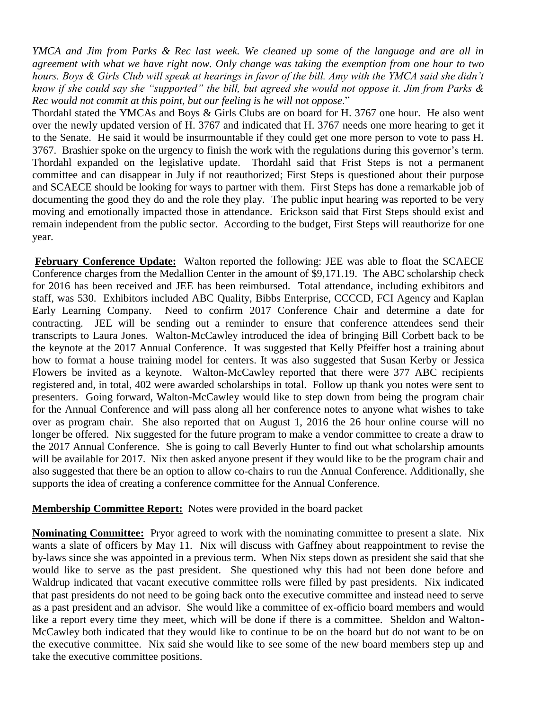*YMCA and Jim from Parks & Rec last week. We cleaned up some of the language and are all in agreement with what we have right now. Only change was taking the exemption from one hour to two hours. Boys & Girls Club will speak at hearings in favor of the bill. Amy with the YMCA said she didn't know if she could say she "supported" the bill, but agreed she would not oppose it. Jim from Parks & Rec would not commit at this point, but our feeling is he will not oppose*."

Thordahl stated the YMCAs and Boys & Girls Clubs are on board for H. 3767 one hour. He also went over the newly updated version of H. 3767 and indicated that H. 3767 needs one more hearing to get it to the Senate. He said it would be insurmountable if they could get one more person to vote to pass H. 3767. Brashier spoke on the urgency to finish the work with the regulations during this governor's term. Thordahl expanded on the legislative update. Thordahl said that Frist Steps is not a permanent committee and can disappear in July if not reauthorized; First Steps is questioned about their purpose and SCAECE should be looking for ways to partner with them. First Steps has done a remarkable job of documenting the good they do and the role they play. The public input hearing was reported to be very moving and emotionally impacted those in attendance. Erickson said that First Steps should exist and remain independent from the public sector. According to the budget, First Steps will reauthorize for one year.

**February Conference Update:** Walton reported the following: JEE was able to float the SCAECE Conference charges from the Medallion Center in the amount of \$9,171.19. The ABC scholarship check for 2016 has been received and JEE has been reimbursed. Total attendance, including exhibitors and staff, was 530. Exhibitors included ABC Quality, Bibbs Enterprise, CCCCD, FCI Agency and Kaplan Early Learning Company. Need to confirm 2017 Conference Chair and determine a date for contracting. JEE will be sending out a reminder to ensure that conference attendees send their transcripts to Laura Jones. Walton-McCawley introduced the idea of bringing Bill Corbett back to be the keynote at the 2017 Annual Conference. It was suggested that Kelly Pfeiffer host a training about how to format a house training model for centers. It was also suggested that Susan Kerby or Jessica Flowers be invited as a keynote. Walton-McCawley reported that there were 377 ABC recipients registered and, in total, 402 were awarded scholarships in total. Follow up thank you notes were sent to presenters. Going forward, Walton-McCawley would like to step down from being the program chair for the Annual Conference and will pass along all her conference notes to anyone what wishes to take over as program chair. She also reported that on August 1, 2016 the 26 hour online course will no longer be offered. Nix suggested for the future program to make a vendor committee to create a draw to the 2017 Annual Conference. She is going to call Beverly Hunter to find out what scholarship amounts will be available for 2017. Nix then asked anyone present if they would like to be the program chair and also suggested that there be an option to allow co-chairs to run the Annual Conference. Additionally, she supports the idea of creating a conference committee for the Annual Conference.

## **Membership Committee Report:** Notes were provided in the board packet

**Nominating Committee:** Pryor agreed to work with the nominating committee to present a slate. Nix wants a slate of officers by May 11. Nix will discuss with Gaffney about reappointment to revise the by-laws since she was appointed in a previous term. When Nix steps down as president she said that she would like to serve as the past president. She questioned why this had not been done before and Waldrup indicated that vacant executive committee rolls were filled by past presidents. Nix indicated that past presidents do not need to be going back onto the executive committee and instead need to serve as a past president and an advisor. She would like a committee of ex-officio board members and would like a report every time they meet, which will be done if there is a committee. Sheldon and Walton-McCawley both indicated that they would like to continue to be on the board but do not want to be on the executive committee. Nix said she would like to see some of the new board members step up and take the executive committee positions.